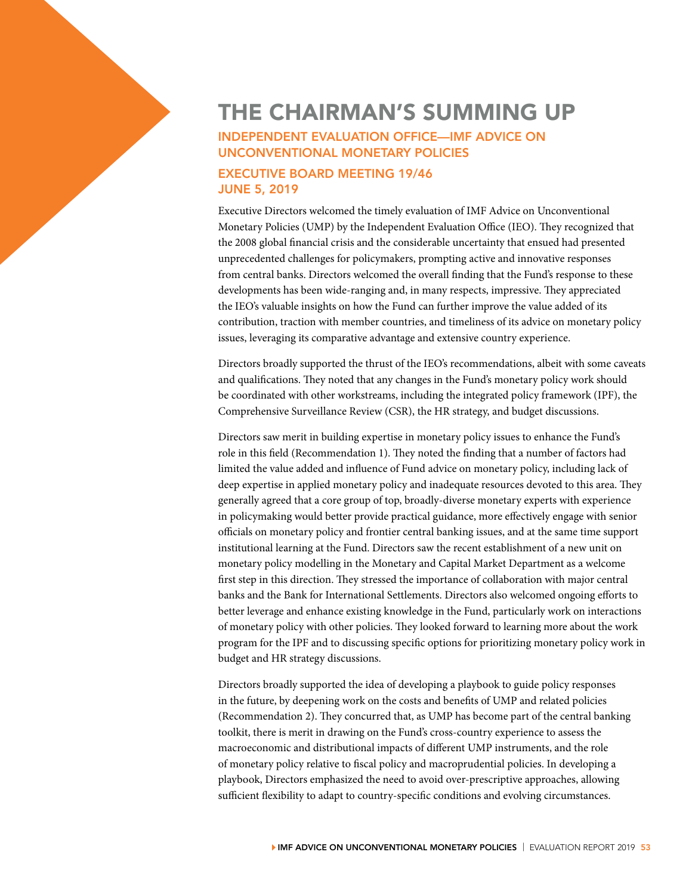## THE CHAIRMAN'S SUMMING UP<br>
INDEPENDENT EVALUATION OFFICE—IMF ADVICE ON<br>
UNCONVENTIONAL MONETARY POLICIES<br>
EXECUTIVE BOARD MEETING 19/46<br>
JUNE 5, 2019<br>
Fraguity Director veloped the timely argluation of the Advise on Unconv INDEPENDENT EVALUATION OFFICE—IMF ADVICE ON UNCONVENTIONAL MONETARY POLICIES

## EXECUTIVE BOARD MEETING 19/46 JUNE 5, 2019

Executive Directors welcomed the timely evaluation of IMF Advice on Unconventional Monetary Policies (UMP) by the Independent Evaluation Office (IEO). They recognized that the 2008 global financial crisis and the considerable uncertainty that ensued had presented unprecedented challenges for policymakers, prompting active and innovative responses from central banks. Directors welcomed the overall finding that the Fund's response to these developments has been wide-ranging and, in many respects, impressive. They appreciated the IEO's valuable insights on how the Fund can further improve the value added of its contribution, traction with member countries, and timeliness of its advice on monetary policy issues, leveraging its comparative advantage and extensive country experience.

Directors broadly supported the thrust of the IEO's recommendations, albeit with some caveats and qualifications. They noted that any changes in the Fund's monetary policy work should be coordinated with other workstreams, including the integrated policy framework (IPF), the Comprehensive Surveillance Review (CSR), the HR strategy, and budget discussions.

Directors saw merit in building expertise in monetary policy issues to enhance the Fund's role in this field (Recommendation 1). They noted the finding that a number of factors had limited the value added and influence of Fund advice on monetary policy, including lack of deep expertise in applied monetary policy and inadequate resources devoted to this area. They generally agreed that a core group of top, broadly-diverse monetary experts with experience in policymaking would better provide practical guidance, more effectively engage with senior officials on monetary policy and frontier central banking issues, and at the same time support institutional learning at the Fund. Directors saw the recent establishment of a new unit on monetary policy modelling in the Monetary and Capital Market Department as a welcome first step in this direction. They stressed the importance of collaboration with major central banks and the Bank for International Settlements. Directors also welcomed ongoing efforts to better leverage and enhance existing knowledge in the Fund, particularly work on interactions of monetary policy with other policies. They looked forward to learning more about the work program for the IPF and to discussing specific options for prioritizing monetary policy work in budget and HR strategy discussions.

Directors broadly supported the idea of developing a playbook to guide policy responses in the future, by deepening work on the costs and benefits of UMP and related policies (Recommendation 2). They concurred that, as UMP has become part of the central banking toolkit, there is merit in drawing on the Fund's cross-country experience to assess the macroeconomic and distributional impacts of different UMP instruments, and the role of monetary policy relative to fiscal policy and macroprudential policies. In developing a playbook, Directors emphasized the need to avoid over-prescriptive approaches, allowing sufficient flexibility to adapt to country-specific conditions and evolving circumstances.